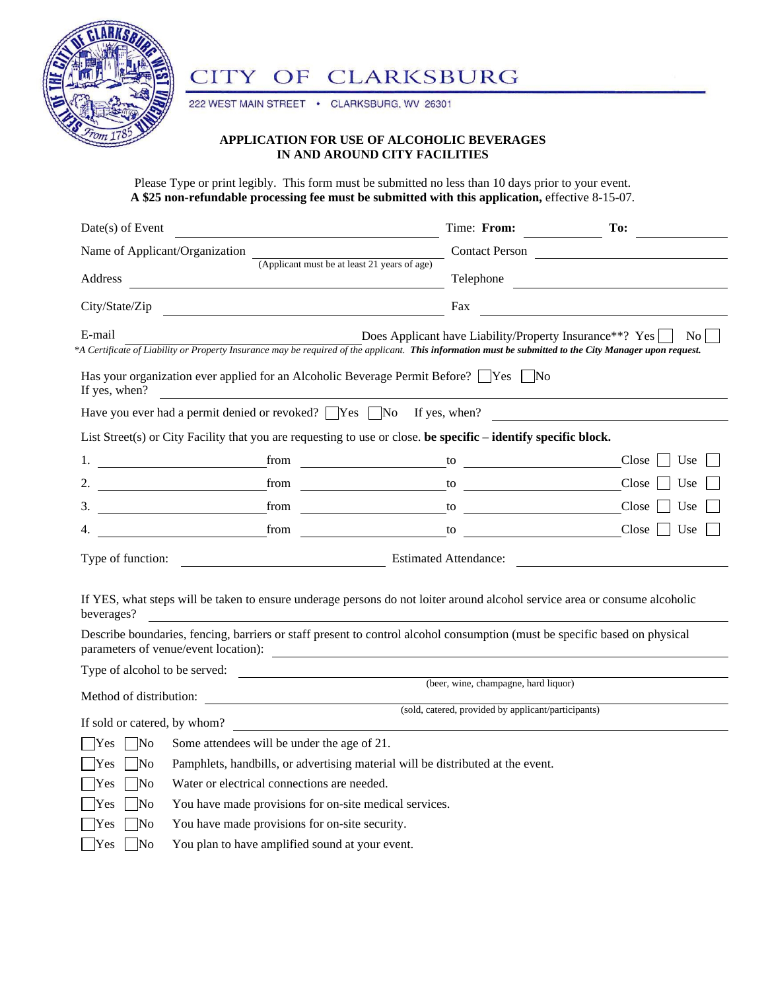

## CITY OF CLARKSBURG

222 WEST MAIN STREET . CLARKSBURG, WV 26301

## **APPLICATION FOR USE OF ALCOHOLIC BEVERAGES IN AND AROUND CITY FACILITIES**

Please Type or print legibly. This form must be submitted no less than 10 days prior to your event. **A \$25 non-refundable processing fee must be submitted with this application,** effective 8-15-07.

| Name of Applicant/Organization<br>Contact Person<br>(Applicant must be at least 21 years of age)<br>Telephone and the contract of the contract of the contract of the contract of the contract of the contract of the contract of the contract of the contract of the contract of the contract of the contract of the contract of<br>Address<br>City/State/Zip<br>Fax<br><u> 1989 - Johann Barbara, martin da basar da basar da basar da basar da basar da basar da basar da basar da basa</u><br>E-mail<br>Does Applicant have Liability/Property Insurance**? Yes<br>No l<br>*A Certificate of Liability or Property Insurance may be required of the applicant. This information must be submitted to the City Manager upon request.<br>Has your organization ever applied for an Alcoholic Beverage Permit Before? $\Box$ Yes $\Box$ No<br>If yes, when?<br><u> 1989 - Johann Barbara, martxa amerikan personal (h. 1989).</u><br>Have you ever had a permit denied or revoked? $\Box$ Yes $\Box$ No If yes, when?<br>List Street(s) or City Facility that you are requesting to use or close. be specific – identify specific block.<br>1. $\qquad \qquad \text{from} \qquad \qquad \text{to} \qquad \qquad \text{to}$<br>Close<br>Use<br>from <u>and the second of the second second second</u><br>Close<br>2. The contract of the contract of the contract of the contract of the contract of the contract of the contract of the contract of the contract of the contract of the contract of the contract of the contract of the contrac<br>$\frac{1}{2}$ to $\frac{1}{2}$ to $\frac{1}{2}$ to $\frac{1}{2}$ to $\frac{1}{2}$ to $\frac{1}{2}$ to $\frac{1}{2}$ to $\frac{1}{2}$ to $\frac{1}{2}$ to $\frac{1}{2}$ to $\frac{1}{2}$ to $\frac{1}{2}$ to $\frac{1}{2}$ to $\frac{1}{2}$ to $\frac{1}{2}$ to $\frac{1}{2}$ to $\frac{1}{2}$ to<br>Use<br>Close<br>Use<br>$\frac{1}{2}$ from $\frac{1}{2}$ from $\frac{1}{2}$ to $\frac{1}{2}$<br>Close<br>Use<br>Type of function: Estimated Attendance:<br>If YES, what steps will be taken to ensure underage persons do not loiter around alcohol service area or consume alcoholic<br>beverages?<br>Describe boundaries, fencing, barriers or staff present to control alcohol consumption (must be specific based on physical<br>parameters of venue/event location):<br>Type of alcohol to be served:<br>(beer, wine, champagne, hard liquor)<br>If sold or catered, by whom?<br><u> 1980 - Andrea State Barbara, amerikan personal dan personal dan personal dan personal dan personal dan personal dan personal dan personal dan personal dan personal dan personal dan personal dan personal dan personal dan </u><br>Some attendees will be under the age of 21.<br>$\overline{\rm No}$<br>Yes | Date(s) of Event | Time: From: | To: |
|----------------------------------------------------------------------------------------------------------------------------------------------------------------------------------------------------------------------------------------------------------------------------------------------------------------------------------------------------------------------------------------------------------------------------------------------------------------------------------------------------------------------------------------------------------------------------------------------------------------------------------------------------------------------------------------------------------------------------------------------------------------------------------------------------------------------------------------------------------------------------------------------------------------------------------------------------------------------------------------------------------------------------------------------------------------------------------------------------------------------------------------------------------------------------------------------------------------------------------------------------------------------------------------------------------------------------------------------------------------------------------------------------------------------------------------------------------------------------------------------------------------------------------------------------------------------------------------------------------------------------------------------------------------------------------------------------------------------------------------------------------------------------------------------------------------------------------------------------------------------------------------------------------------------------------------------------------------------------------------------------------------------------------------------------------------------------------------------------------------------------------------------------------------------------------------------------------------------------------------------------------------------------------------------------------------------------------------------------------------------------------------------------------------------------------------------------------------------------------------------------------------------------------------------------------------------------------------------------------------------------------------------------------------------------------------------------------------------------------------------------------------|------------------|-------------|-----|
|                                                                                                                                                                                                                                                                                                                                                                                                                                                                                                                                                                                                                                                                                                                                                                                                                                                                                                                                                                                                                                                                                                                                                                                                                                                                                                                                                                                                                                                                                                                                                                                                                                                                                                                                                                                                                                                                                                                                                                                                                                                                                                                                                                                                                                                                                                                                                                                                                                                                                                                                                                                                                                                                                                                                                                |                  |             |     |
|                                                                                                                                                                                                                                                                                                                                                                                                                                                                                                                                                                                                                                                                                                                                                                                                                                                                                                                                                                                                                                                                                                                                                                                                                                                                                                                                                                                                                                                                                                                                                                                                                                                                                                                                                                                                                                                                                                                                                                                                                                                                                                                                                                                                                                                                                                                                                                                                                                                                                                                                                                                                                                                                                                                                                                |                  |             |     |
|                                                                                                                                                                                                                                                                                                                                                                                                                                                                                                                                                                                                                                                                                                                                                                                                                                                                                                                                                                                                                                                                                                                                                                                                                                                                                                                                                                                                                                                                                                                                                                                                                                                                                                                                                                                                                                                                                                                                                                                                                                                                                                                                                                                                                                                                                                                                                                                                                                                                                                                                                                                                                                                                                                                                                                |                  |             |     |
|                                                                                                                                                                                                                                                                                                                                                                                                                                                                                                                                                                                                                                                                                                                                                                                                                                                                                                                                                                                                                                                                                                                                                                                                                                                                                                                                                                                                                                                                                                                                                                                                                                                                                                                                                                                                                                                                                                                                                                                                                                                                                                                                                                                                                                                                                                                                                                                                                                                                                                                                                                                                                                                                                                                                                                |                  |             |     |
|                                                                                                                                                                                                                                                                                                                                                                                                                                                                                                                                                                                                                                                                                                                                                                                                                                                                                                                                                                                                                                                                                                                                                                                                                                                                                                                                                                                                                                                                                                                                                                                                                                                                                                                                                                                                                                                                                                                                                                                                                                                                                                                                                                                                                                                                                                                                                                                                                                                                                                                                                                                                                                                                                                                                                                |                  |             |     |
|                                                                                                                                                                                                                                                                                                                                                                                                                                                                                                                                                                                                                                                                                                                                                                                                                                                                                                                                                                                                                                                                                                                                                                                                                                                                                                                                                                                                                                                                                                                                                                                                                                                                                                                                                                                                                                                                                                                                                                                                                                                                                                                                                                                                                                                                                                                                                                                                                                                                                                                                                                                                                                                                                                                                                                |                  |             |     |
|                                                                                                                                                                                                                                                                                                                                                                                                                                                                                                                                                                                                                                                                                                                                                                                                                                                                                                                                                                                                                                                                                                                                                                                                                                                                                                                                                                                                                                                                                                                                                                                                                                                                                                                                                                                                                                                                                                                                                                                                                                                                                                                                                                                                                                                                                                                                                                                                                                                                                                                                                                                                                                                                                                                                                                |                  |             |     |
|                                                                                                                                                                                                                                                                                                                                                                                                                                                                                                                                                                                                                                                                                                                                                                                                                                                                                                                                                                                                                                                                                                                                                                                                                                                                                                                                                                                                                                                                                                                                                                                                                                                                                                                                                                                                                                                                                                                                                                                                                                                                                                                                                                                                                                                                                                                                                                                                                                                                                                                                                                                                                                                                                                                                                                |                  |             |     |
|                                                                                                                                                                                                                                                                                                                                                                                                                                                                                                                                                                                                                                                                                                                                                                                                                                                                                                                                                                                                                                                                                                                                                                                                                                                                                                                                                                                                                                                                                                                                                                                                                                                                                                                                                                                                                                                                                                                                                                                                                                                                                                                                                                                                                                                                                                                                                                                                                                                                                                                                                                                                                                                                                                                                                                |                  |             |     |
|                                                                                                                                                                                                                                                                                                                                                                                                                                                                                                                                                                                                                                                                                                                                                                                                                                                                                                                                                                                                                                                                                                                                                                                                                                                                                                                                                                                                                                                                                                                                                                                                                                                                                                                                                                                                                                                                                                                                                                                                                                                                                                                                                                                                                                                                                                                                                                                                                                                                                                                                                                                                                                                                                                                                                                |                  |             |     |
|                                                                                                                                                                                                                                                                                                                                                                                                                                                                                                                                                                                                                                                                                                                                                                                                                                                                                                                                                                                                                                                                                                                                                                                                                                                                                                                                                                                                                                                                                                                                                                                                                                                                                                                                                                                                                                                                                                                                                                                                                                                                                                                                                                                                                                                                                                                                                                                                                                                                                                                                                                                                                                                                                                                                                                |                  |             |     |
|                                                                                                                                                                                                                                                                                                                                                                                                                                                                                                                                                                                                                                                                                                                                                                                                                                                                                                                                                                                                                                                                                                                                                                                                                                                                                                                                                                                                                                                                                                                                                                                                                                                                                                                                                                                                                                                                                                                                                                                                                                                                                                                                                                                                                                                                                                                                                                                                                                                                                                                                                                                                                                                                                                                                                                |                  |             |     |
|                                                                                                                                                                                                                                                                                                                                                                                                                                                                                                                                                                                                                                                                                                                                                                                                                                                                                                                                                                                                                                                                                                                                                                                                                                                                                                                                                                                                                                                                                                                                                                                                                                                                                                                                                                                                                                                                                                                                                                                                                                                                                                                                                                                                                                                                                                                                                                                                                                                                                                                                                                                                                                                                                                                                                                |                  |             |     |
|                                                                                                                                                                                                                                                                                                                                                                                                                                                                                                                                                                                                                                                                                                                                                                                                                                                                                                                                                                                                                                                                                                                                                                                                                                                                                                                                                                                                                                                                                                                                                                                                                                                                                                                                                                                                                                                                                                                                                                                                                                                                                                                                                                                                                                                                                                                                                                                                                                                                                                                                                                                                                                                                                                                                                                |                  |             |     |
|                                                                                                                                                                                                                                                                                                                                                                                                                                                                                                                                                                                                                                                                                                                                                                                                                                                                                                                                                                                                                                                                                                                                                                                                                                                                                                                                                                                                                                                                                                                                                                                                                                                                                                                                                                                                                                                                                                                                                                                                                                                                                                                                                                                                                                                                                                                                                                                                                                                                                                                                                                                                                                                                                                                                                                |                  |             |     |
|                                                                                                                                                                                                                                                                                                                                                                                                                                                                                                                                                                                                                                                                                                                                                                                                                                                                                                                                                                                                                                                                                                                                                                                                                                                                                                                                                                                                                                                                                                                                                                                                                                                                                                                                                                                                                                                                                                                                                                                                                                                                                                                                                                                                                                                                                                                                                                                                                                                                                                                                                                                                                                                                                                                                                                |                  |             |     |
|                                                                                                                                                                                                                                                                                                                                                                                                                                                                                                                                                                                                                                                                                                                                                                                                                                                                                                                                                                                                                                                                                                                                                                                                                                                                                                                                                                                                                                                                                                                                                                                                                                                                                                                                                                                                                                                                                                                                                                                                                                                                                                                                                                                                                                                                                                                                                                                                                                                                                                                                                                                                                                                                                                                                                                |                  |             |     |
|                                                                                                                                                                                                                                                                                                                                                                                                                                                                                                                                                                                                                                                                                                                                                                                                                                                                                                                                                                                                                                                                                                                                                                                                                                                                                                                                                                                                                                                                                                                                                                                                                                                                                                                                                                                                                                                                                                                                                                                                                                                                                                                                                                                                                                                                                                                                                                                                                                                                                                                                                                                                                                                                                                                                                                |                  |             |     |
| Pamphlets, handbills, or advertising material will be distributed at the event.<br>No                                                                                                                                                                                                                                                                                                                                                                                                                                                                                                                                                                                                                                                                                                                                                                                                                                                                                                                                                                                                                                                                                                                                                                                                                                                                                                                                                                                                                                                                                                                                                                                                                                                                                                                                                                                                                                                                                                                                                                                                                                                                                                                                                                                                                                                                                                                                                                                                                                                                                                                                                                                                                                                                          |                  |             |     |
| Yes<br>Water or electrical connections are needed.<br>$\overline{\rm No}$<br><b>Yes</b>                                                                                                                                                                                                                                                                                                                                                                                                                                                                                                                                                                                                                                                                                                                                                                                                                                                                                                                                                                                                                                                                                                                                                                                                                                                                                                                                                                                                                                                                                                                                                                                                                                                                                                                                                                                                                                                                                                                                                                                                                                                                                                                                                                                                                                                                                                                                                                                                                                                                                                                                                                                                                                                                        |                  |             |     |
| You have made provisions for on-site medical services.<br>No<br>Yes                                                                                                                                                                                                                                                                                                                                                                                                                                                                                                                                                                                                                                                                                                                                                                                                                                                                                                                                                                                                                                                                                                                                                                                                                                                                                                                                                                                                                                                                                                                                                                                                                                                                                                                                                                                                                                                                                                                                                                                                                                                                                                                                                                                                                                                                                                                                                                                                                                                                                                                                                                                                                                                                                            |                  |             |     |
| You have made provisions for on-site security.<br>No<br>Yes                                                                                                                                                                                                                                                                                                                                                                                                                                                                                                                                                                                                                                                                                                                                                                                                                                                                                                                                                                                                                                                                                                                                                                                                                                                                                                                                                                                                                                                                                                                                                                                                                                                                                                                                                                                                                                                                                                                                                                                                                                                                                                                                                                                                                                                                                                                                                                                                                                                                                                                                                                                                                                                                                                    |                  |             |     |
| You plan to have amplified sound at your event.<br>Yes<br>No                                                                                                                                                                                                                                                                                                                                                                                                                                                                                                                                                                                                                                                                                                                                                                                                                                                                                                                                                                                                                                                                                                                                                                                                                                                                                                                                                                                                                                                                                                                                                                                                                                                                                                                                                                                                                                                                                                                                                                                                                                                                                                                                                                                                                                                                                                                                                                                                                                                                                                                                                                                                                                                                                                   |                  |             |     |